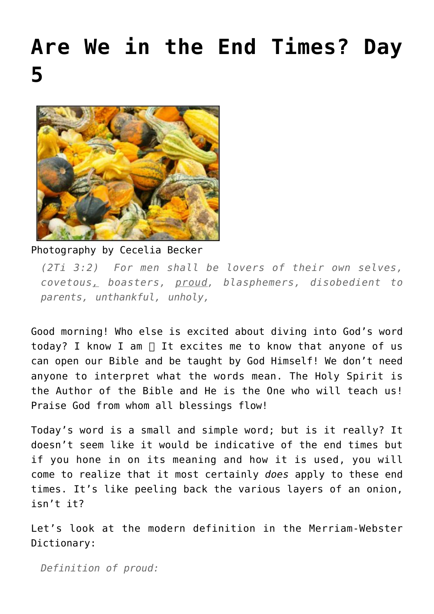## **[Are We in the End Times? Day](https://maranatha.earnestlycontending.com/2021/11/24/are-we-in-the-end-times-day-5/) [5](https://maranatha.earnestlycontending.com/2021/11/24/are-we-in-the-end-times-day-5/)**



Photography by Cecelia Becker

*(2Ti 3:2) For men shall be lovers of their own selves, covetous, boasters, proud, blasphemers, disobedient to parents, unthankful, unholy,*

Good morning! Who else is excited about diving into God's word today? I know I am  $\Box$  It excites me to know that anyone of us can open our Bible and be taught by God Himself! We don't need anyone to interpret what the words mean. The Holy Spirit is the Author of the Bible and He is the One who will teach us! Praise God from whom all blessings flow!

Today's word is a small and simple word; but is it really? It doesn't seem like it would be indicative of the end times but if you hone in on its meaning and how it is used, you will come to realize that it most certainly *does* apply to these end times. It's like peeling back the various layers of an onion, isn't it?

Let's look at the modern definition in the Merriam-Webster Dictionary:

*Definition of proud:*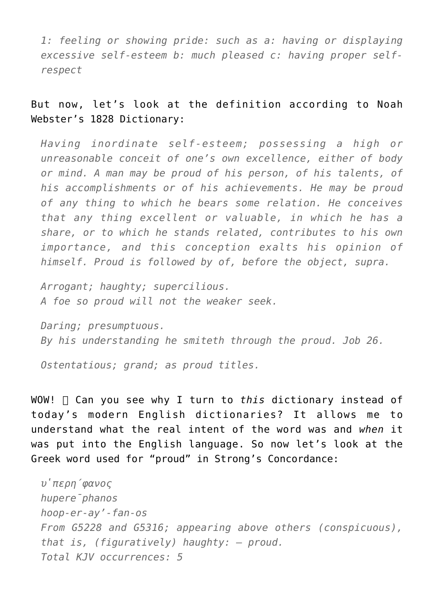*1: feeling or showing pride: such as a: having or displaying excessive self-esteem b: much pleased c: having proper selfrespect*

But now, let's look at the definition according to Noah Webster's 1828 Dictionary:

*Having inordinate self-esteem; possessing a high or unreasonable conceit of one's own excellence, either of body or mind. A man may be proud of his person, of his talents, of his accomplishments or of his achievements. He may be proud of any thing to which he bears some relation. He conceives that any thing excellent or valuable, in which he has a share, or to which he stands related, contributes to his own importance, and this conception exalts his opinion of himself. Proud is followed by of, before the object, supra.*

*Arrogant; haughty; supercilious. A foe so proud will not the weaker seek.*

*Daring; presumptuous. By his understanding he smiteth through the proud. Job 26.*

*Ostentatious; grand; as proud titles.*

WOW! Can you see why I turn to *this* dictionary instead of today's modern English dictionaries? It allows me to understand what the real intent of the word was and *when* it was put into the English language. So now let's look at the Greek word used for "proud" in Strong's Concordance:

```
ὑπερήφανος
hupere<sup>p</sup>hanos
hoop-er-ay'-fan-os
From G5228 and G5316; appearing above others (conspicuous),
that is, (figuratively) haughty: – proud.
Total KJV occurrences: 5
```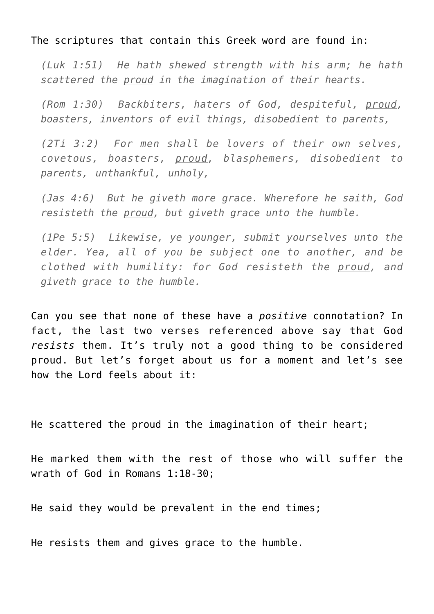The scriptures that contain this Greek word are found in:

*(Luk 1:51) He hath shewed strength with his arm; he hath scattered the proud in the imagination of their hearts.*

*(Rom 1:30) Backbiters, haters of God, despiteful, proud, boasters, inventors of evil things, disobedient to parents,*

*(2Ti 3:2) For men shall be lovers of their own selves, covetous, boasters, proud, blasphemers, disobedient to parents, unthankful, unholy,*

*(Jas 4:6) But he giveth more grace. Wherefore he saith, God resisteth the proud, but giveth grace unto the humble.*

*(1Pe 5:5) Likewise, ye younger, submit yourselves unto the elder. Yea, all of you be subject one to another, and be clothed with humility: for God resisteth the proud, and giveth grace to the humble.*

Can you see that none of these have a *positive* connotation? In fact, the last two verses referenced above say that God *resists* them. It's truly not a good thing to be considered proud. But let's forget about us for a moment and let's see how the Lord feels about it:

He scattered the proud in the imagination of their heart;

He marked them with the rest of those who will suffer the wrath of God in Romans 1:18-30;

He said they would be prevalent in the end times;

He resists them and gives grace to the humble.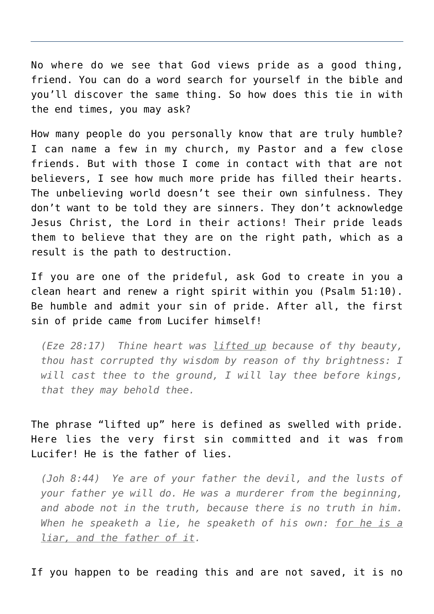No where do we see that God views pride as a good thing, friend. You can do a word search for yourself in the bible and you'll discover the same thing. So how does this tie in with the end times, you may ask?

How many people do you personally know that are truly humble? I can name a few in my church, my Pastor and a few close friends. But with those I come in contact with that are not believers, I see how much more pride has filled their hearts. The unbelieving world doesn't see their own sinfulness. They don't want to be told they are sinners. They don't acknowledge Jesus Christ, the Lord in their actions! Their pride leads them to believe that they are on the right path, which as a result is the path to destruction.

If you are one of the prideful, ask God to create in you a clean heart and renew a right spirit within you (Psalm 51:10). Be humble and admit your sin of pride. After all, the first sin of pride came from Lucifer himself!

*(Eze 28:17) Thine heart was lifted up because of thy beauty, thou hast corrupted thy wisdom by reason of thy brightness: I will cast thee to the ground, I will lay thee before kings, that they may behold thee.*

The phrase "lifted up" here is defined as swelled with pride. Here lies the very first sin committed and it was from Lucifer! He is the father of lies.

*(Joh 8:44) Ye are of your father the devil, and the lusts of your father ye will do. He was a murderer from the beginning, and abode not in the truth, because there is no truth in him. When he speaketh a lie, he speaketh of his own: for he is a liar, and the father of it.*

If you happen to be reading this and are not saved, it is no